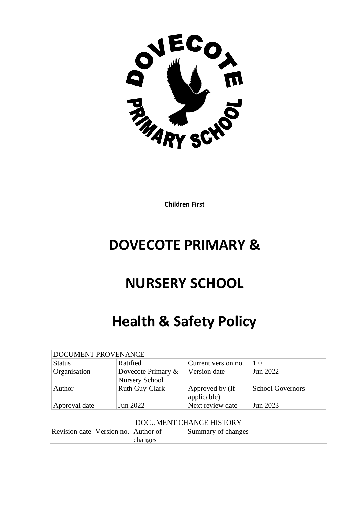

**Children First**

# **DOVECOTE PRIMARY &**

# **NURSERY SCHOOL**

# **Health & Safety Policy**

| DOCUMENT PROVENANCE |                                             |                                |                         |  |  |
|---------------------|---------------------------------------------|--------------------------------|-------------------------|--|--|
| <b>Status</b>       | Ratified                                    | Current version no.            | 1.0                     |  |  |
| Organisation        | Dovecote Primary &<br><b>Nursery School</b> | Version date                   | Jun 2022                |  |  |
| Author              | Ruth Guy-Clark                              | Approved by (If<br>applicable) | <b>School Governors</b> |  |  |
| Approval date       | Jun 2022                                    | Next review date               | Jun 2023                |  |  |

| DOCUMENT CHANGE HISTORY                 |  |         |                    |  |
|-----------------------------------------|--|---------|--------------------|--|
| Revision date   Version no.   Author of |  | changes | Summary of changes |  |
|                                         |  |         |                    |  |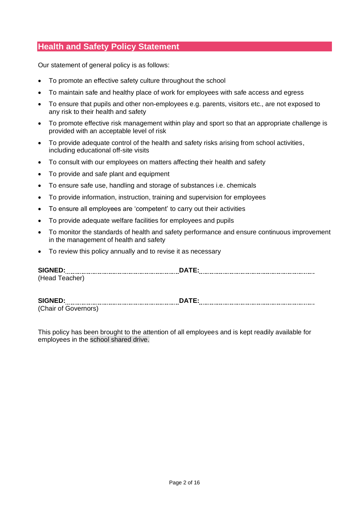# **Health and Safety Policy Statement**

Our statement of general policy is as follows:

- To promote an effective safety culture throughout the school
- To maintain safe and healthy place of work for employees with safe access and egress
- To ensure that pupils and other non-employees e.g. parents, visitors etc., are not exposed to any risk to their health and safety
- To promote effective risk management within play and sport so that an appropriate challenge is provided with an acceptable level of risk
- To provide adequate control of the health and safety risks arising from school activities, including educational off-site visits
- To consult with our employees on matters affecting their health and safety
- To provide and safe plant and equipment
- To ensure safe use, handling and storage of substances i.e. chemicals
- To provide information, instruction, training and supervision for employees
- To ensure all employees are 'competent' to carry out their activities
- To provide adequate welfare facilities for employees and pupils
- To monitor the standards of health and safety performance and ensure continuous improvement in the management of health and safety
- To review this policy annually and to revise it as necessary

| <b>SIG</b> |  |
|------------|--|
|            |  |

## **SIGNED: DATE:**

(Chair of Governors)

This policy has been brought to the attention of all employees and is kept readily available for employees in the school shared drive.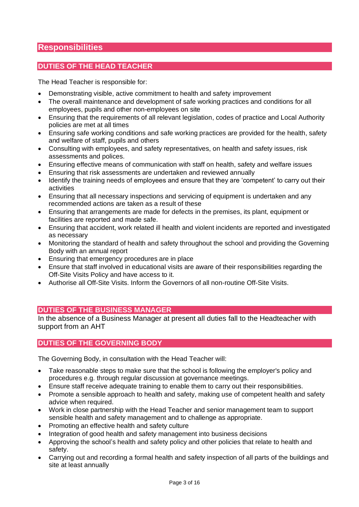# **Responsibilities**

# **DUTIES OF THE HEAD TEACHER**

The Head Teacher is responsible for:

- Demonstrating visible, active commitment to health and safety improvement
- The overall maintenance and development of safe working practices and conditions for all employees, pupils and other non-employees on site
- Ensuring that the requirements of all relevant legislation, codes of practice and Local Authority policies are met at all times
- Ensuring safe working conditions and safe working practices are provided for the health, safety and welfare of staff, pupils and others
- Consulting with employees, and safety representatives, on health and safety issues, risk assessments and polices.
- Ensuring effective means of communication with staff on health, safety and welfare issues
- Ensuring that risk assessments are undertaken and reviewed annually
- Identify the training needs of employees and ensure that they are 'competent' to carry out their activities
- Ensuring that all necessary inspections and servicing of equipment is undertaken and any recommended actions are taken as a result of these
- Ensuring that arrangements are made for defects in the premises, its plant, equipment or facilities are reported and made safe.
- Ensuring that accident, work related ill health and violent incidents are reported and investigated as necessary
- Monitoring the standard of health and safety throughout the school and providing the Governing Body with an annual report
- Ensuring that emergency procedures are in place
- Ensure that staff involved in educational visits are aware of their responsibilities regarding the Off-Site Visits Policy and have access to it.
- Authorise all Off-Site Visits. Inform the Governors of all non-routine Off-Site Visits.

# **DUTIES OF THE BUSINESS MANAGER**

In the absence of a Business Manager at present all duties fall to the Headteacher with support from an AHT

# **DUTIES OF THE GOVERNING BODY**

The Governing Body, in consultation with the Head Teacher will:

- Take reasonable steps to make sure that the school is following the employer's policy and procedures e.g. through regular discussion at governance meetings.
- Ensure staff receive adequate training to enable them to carry out their responsibilities.
- Promote a sensible approach to health and safety, making use of competent health and safety advice when required.
- Work in close partnership with the Head Teacher and senior management team to support sensible health and safety management and to challenge as appropriate.
- Promoting an effective health and safety culture
- Integration of good health and safety management into business decisions
- Approving the school's health and safety policy and other policies that relate to health and safety.
- Carrying out and recording a formal health and safety inspection of all parts of the buildings and site at least annually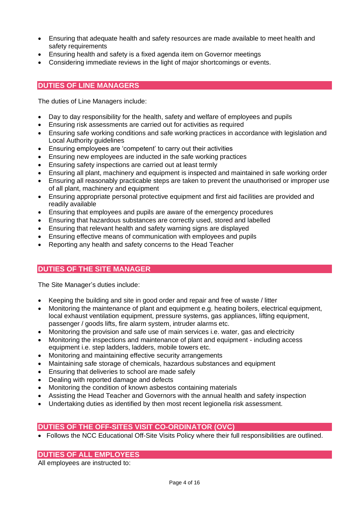- Ensuring that adequate health and safety resources are made available to meet health and safety requirements
- Ensuring health and safety is a fixed agenda item on Governor meetings
- Considering immediate reviews in the light of major shortcomings or events.

# **DUTIES OF LINE MANAGERS**

The duties of Line Managers include:

- Day to day responsibility for the health, safety and welfare of employees and pupils
- Ensuring risk assessments are carried out for activities as required
- Ensuring safe working conditions and safe working practices in accordance with legislation and Local Authority guidelines
- Ensuring employees are 'competent' to carry out their activities
- Ensuring new employees are inducted in the safe working practices
- Ensuring safety inspections are carried out at least termly
- Ensuring all plant, machinery and equipment is inspected and maintained in safe working order
- Ensuring all reasonably practicable steps are taken to prevent the unauthorised or improper use of all plant, machinery and equipment
- Ensuring appropriate personal protective equipment and first aid facilities are provided and readily available
- Ensuring that employees and pupils are aware of the emergency procedures
- Ensuring that hazardous substances are correctly used, stored and labelled
- Ensuring that relevant health and safety warning signs are displayed
- Ensuring effective means of communication with employees and pupils
- Reporting any health and safety concerns to the Head Teacher

# **DUTIES OF THE SITE MANAGER**

The Site Manager's duties include:

- Keeping the building and site in good order and repair and free of waste / litter
- Monitoring the maintenance of plant and equipment e.g. heating boilers, electrical equipment, local exhaust ventilation equipment, pressure systems, gas appliances, lifting equipment, passenger / goods lifts, fire alarm system, intruder alarms etc.
- Monitoring the provision and safe use of main services i.e. water, gas and electricity
- Monitoring the inspections and maintenance of plant and equipment including access equipment i.e. step ladders, ladders, mobile towers etc.
- Monitoring and maintaining effective security arrangements
- Maintaining safe storage of chemicals, hazardous substances and equipment
- Ensuring that deliveries to school are made safely
- Dealing with reported damage and defects
- Monitoring the condition of known asbestos containing materials
- Assisting the Head Teacher and Governors with the annual health and safety inspection
- Undertaking duties as identified by then most recent legionella risk assessment.

# **DUTIES OF THE OFF-SITES VISIT CO-ORDINATOR (OVC)**

• Follows the NCC Educational Off-Site Visits Policy where their full responsibilities are outlined.

# **DUTIES OF ALL EMPLOYEES**

All employees are instructed to: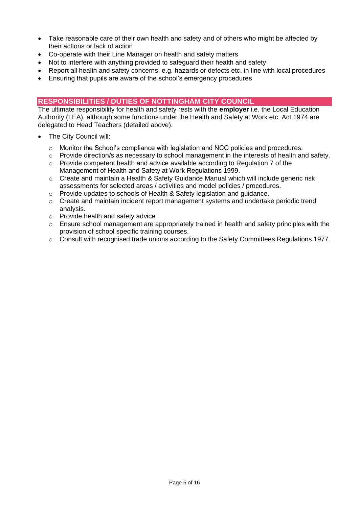- Take reasonable care of their own health and safety and of others who might be affected by their actions or lack of action
- Co-operate with their Line Manager on health and safety matters
- Not to interfere with anything provided to safeguard their health and safety
- Report all health and safety concerns, e.g. hazards or defects etc. in line with local procedures
- Ensuring that pupils are aware of the school's emergency procedures

# **RESPONSIBILITIES / DUTIES OF NOTTINGHAM CITY COUNCIL**

The ultimate responsibility for health and safety rests with the **employer** i.e. the Local Education Authority (LEA), although some functions under the Health and Safety at Work etc. Act 1974 are delegated to Head Teachers (detailed above).

- The City Council will:
	- o Monitor the School's compliance with legislation and NCC policies and procedures.
	- $\circ$  Provide direction/s as necessary to school management in the interests of health and safety.
	- o Provide competent health and advice available according to Regulation 7 of the Management of Health and Safety at Work Regulations 1999.
	- $\circ$  Create and maintain a Health & Safety Guidance Manual which will include generic risk assessments for selected areas / activities and model policies / procedures.
	- o Provide updates to schools of Health & Safety legislation and guidance.
	- $\circ$  Create and maintain incident report management systems and undertake periodic trend analysis.
	- o Provide health and safety advice.
	- o Ensure school management are appropriately trained in health and safety principles with the provision of school specific training courses.
	- o Consult with recognised trade unions according to the Safety Committees Regulations 1977.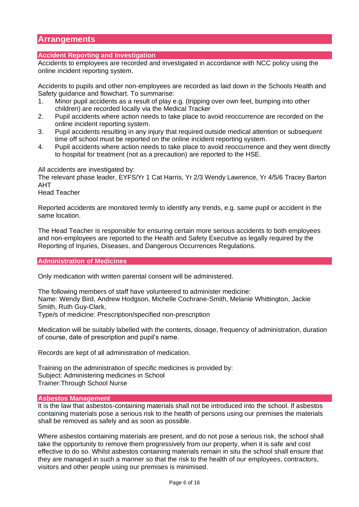# **Arrangements**

# **Accident Reporting and Investigation**

Accidents to employees are recorded and investigated in accordance with NCC policy using the online incident reporting system.

Accidents to pupils and other non-employees are recorded as laid down in the Schools Health and Safety guidance and flowchart. To summarise:

- 1. Minor pupil accidents as a result of play e.g. (tripping over own feet, bumping into other children) are recorded locally via the Medical Tracker
- 2. Pupil accidents where action needs to take place to avoid reoccurrence are recorded on the online incident reporting system.
- 3. Pupil accidents resulting in any injury that required outside medical attention or subsequent time off school must be reported on the online incident reporting system.
- 4. Pupil accidents where action needs to take place to avoid reoccurrence and they went directly to hospital for treatment (not as a precaution) are reported to the HSE.

All accidents are investigated by:

The relevant phase leader, EYFS/Yr 1 Cat Harris, Yr 2/3 Wendy Lawrence, Yr 4/5/6 Tracey Barton AHT

Head Teacher

Reported accidents are monitored termly to identify any trends, e.g. same pupil or accident in the same location.

The Head Teacher is responsible for ensuring certain more serious accidents to both employees and non-employees are reported to the Health and Safety Executive as legally required by the Reporting of Injuries, Diseases, and Dangerous Occurrences Regulations.

# **Administration of Medicines**

Only medication with written parental consent will be administered.

The following members of staff have volunteered to administer medicine: Name: Wendy Bird, Andrew Hodgson, Michelle Cochrane-Smith, Melanie Whittington, Jackie Smith, Ruth Guy-Clark,

Type/s of medicine: Prescription/specified non-prescription

Medication will be suitably labelled with the contents, dosage, frequency of administration, duration of course, date of prescription and pupil's name.

Records are kept of all administration of medication.

Training on the administration of specific medicines is provided by: Subject: Administering medicines in School Trainer:Through School Nurse

## **Asbestos Management**

It is the law that asbestos-containing materials shall not be introduced into the school. If asbestos containing materials pose a serious risk to the health of persons using our premises the materials shall be removed as safely and as soon as possible.

Where asbestos containing materials are present, and do not pose a serious risk, the school shall take the opportunity to remove them progressively from our property, when it is safe and cost effective to do so. Whilst asbestos containing materials remain in situ the school shall ensure that they are managed in such a manner so that the risk to the health of our employees, contractors, visitors and other people using our premises is minimised.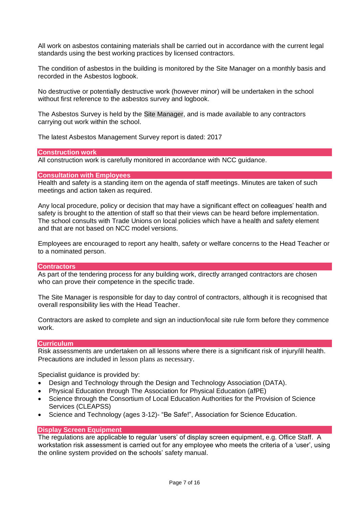All work on asbestos containing materials shall be carried out in accordance with the current legal standards using the best working practices by licensed contractors.

The condition of asbestos in the building is monitored by the Site Manager on a monthly basis and recorded in the Asbestos logbook.

No destructive or potentially destructive work (however minor) will be undertaken in the school without first reference to the asbestos survey and logbook.

The Asbestos Survey is held by the Site Manager, and is made available to any contractors carrying out work within the school.

The latest Asbestos Management Survey report is dated: 2017

#### **Construction work**

All construction work is carefully monitored in accordance with NCC guidance.

## **Consultation with Employees**

Health and safety is a standing item on the agenda of staff meetings. Minutes are taken of such meetings and action taken as required.

Any local procedure, policy or decision that may have a significant effect on colleagues' health and safety is brought to the attention of staff so that their views can be heard before implementation. The school consults with Trade Unions on local policies which have a health and safety element and that are not based on NCC model versions.

Employees are encouraged to report any health, safety or welfare concerns to the Head Teacher or to a nominated person.

# **Contractors**

As part of the tendering process for any building work, directly arranged contractors are chosen who can prove their competence in the specific trade.

The Site Manager is responsible for day to day control of contractors, although it is recognised that overall responsibility lies with the Head Teacher.

Contractors are asked to complete and sign an induction/local site rule form before they commence work.

# **Curriculum**

Risk assessments are undertaken on all lessons where there is a significant risk of injury/ill health. Precautions are included in lesson plans as necessary.

Specialist guidance is provided by:

- Design and Technology through the Design and Technology Association (DATA).
- Physical Education through The Association for Physical Education (afPE)
- Science through the Consortium of Local Education Authorities for the Provision of Science Services (CLEAPSS)
- Science and Technology (ages 3-12)- "Be Safe!", Association for Science Education.

# **Display Screen Equipment**

The regulations are applicable to regular 'users' of display screen equipment, e.g. Office Staff. A workstation risk assessment is carried out for any employee who meets the criteria of a 'user', using the online system provided on the schools' safety manual.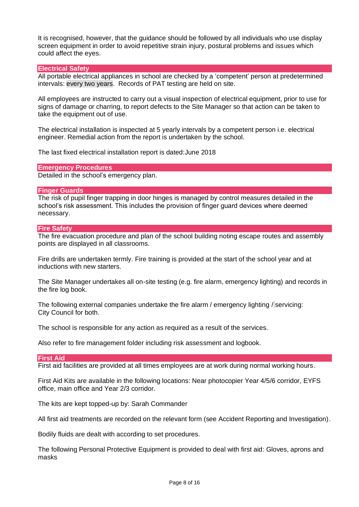It is recognised, however, that the guidance should be followed by all individuals who use display screen equipment in order to avoid repetitive strain injury, postural problems and issues which could affect the eyes.

## **Electrical Safety**

All portable electrical appliances in school are checked by a 'competent' person at predetermined intervals: every two years. Records of PAT testing are held on site.

All employees are instructed to carry out a visual inspection of electrical equipment, prior to use for signs of damage or charring, to report defects to the Site Manager so that action can be taken to take the equipment out of use.

The electrical installation is inspected at 5 yearly intervals by a competent person i.e. electrical engineer. Remedial action from the report is undertaken by the school.

The last fixed electrical installation report is dated:June 2018

**Emergency Procedures**

Detailed in the school's emergency plan.

## **Finger Guards**

The risk of pupil finger trapping in door hinges is managed by control measures detailed in the school's risk assessment. This includes the provision of finger guard devices where deemed necessary.

#### **Fire Safety**

The fire evacuation procedure and plan of the school building noting escape routes and assembly points are displayed in all classrooms.

Fire drills are undertaken termly. Fire training is provided at the start of the school year and at inductions with new starters.

The Site Manager undertakes all on-site testing (e.g. fire alarm, emergency lighting) and records in the fire log book.

The following external companies undertake the fire alarm / emergency lighting / servicing: City Council for both.

The school is responsible for any action as required as a result of the services.

Also refer to fire management folder including risk assessment and logbook.

#### **First Aid**

First aid facilities are provided at all times employees are at work during normal working hours.

First Aid Kits are available in the following locations: Near photocopier Year 4/5/6 corridor, EYFS office, main office and Year 2/3 corridor.

The kits are kept topped-up by: Sarah Commander

All first aid treatments are recorded on the relevant form (see Accident Reporting and Investigation).

Bodily fluids are dealt with according to set procedures.

The following Personal Protective Equipment is provided to deal with first aid: Gloves, aprons and masks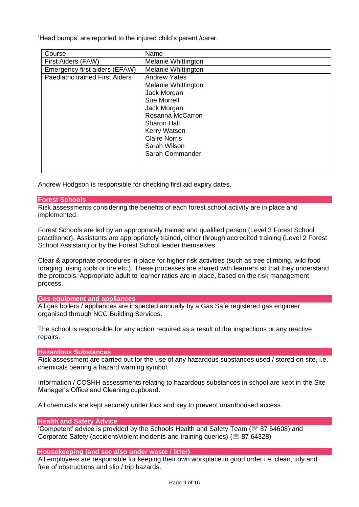'Head bumps' are reported to the injured child's parent /carer.

| Course                                 | Name                                                                                                                                        |
|----------------------------------------|---------------------------------------------------------------------------------------------------------------------------------------------|
| First Aiders (FAW)                     | Melanie Whittington                                                                                                                         |
| Emergency first aiders (EFAW)          | Melanie Whittington                                                                                                                         |
| <b>Paediatric trained First Aiders</b> | <b>Andrew Yates</b><br>Melanie Whittington<br>Jack Morgan<br>Sue Morrell<br>Jack Morgan<br>Rosanna McCarron<br>Sharon Hall,<br>Kerry Watson |
|                                        | <b>Claire Norris</b><br>Sarah Wilson<br>Sarah Commander                                                                                     |

Andrew Hodgson is responsible for checking first aid expiry dates.

# **Forest Schools**

Risk assessments considering the benefits of each forest school activity are in place and implemented.

Forest Schools are led by an appropriately trained and qualified person (Level 3 Forest School practitioner). Assistants are appropriately trained, either through accredited training (Level 2 Forest School Assistant) or by the Forest School leader themselves.

Clear & appropriate procedures in place for higher risk activities (such as tree climbing, wild food foraging, using tools or fire etc.). These processes are shared with learners so that they understand the protocols. Appropriate adult to learner ratios are in place, based on the risk management process.

#### **Gas equipment and appliances**

All gas boilers / appliances are inspected annually by a Gas Safe registered gas engineer organised through NCC Building Services.

The school is responsible for any action required as a result of the inspections or any reactive repairs.

## **Hazardous Substances**

Risk assessment are carried out for the use of any hazardous substances used / stored on site, i.e. chemicals bearing a hazard warning symbol.

Information / COSHH assessments relating to hazardous substances in school are kept in the Site Manager's Office and Cleaning cupboard.

All chemicals are kept securely under lock and key to prevent unauthorised access.

#### **Health and Safety Advice**

'Competent' advice is provided by the Schools Health and Safety Team (<sup>88</sup> 87 64608) and Corporate Safety (accident/violent incidents and training queries) ( $\mathcal{B}$  87 64328)

#### **Housekeeping (and see also under waste / litter)**

All employees are responsible for keeping their own workplace in good order i.e. clean, tidy and free of obstructions and slip / trip hazards.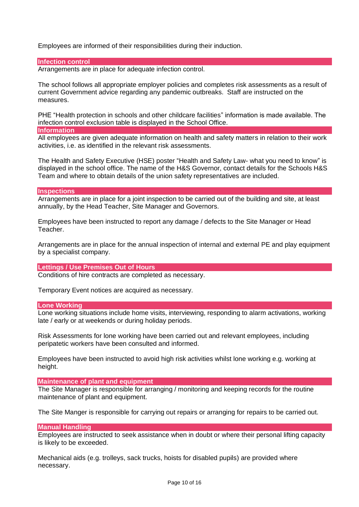Employees are informed of their responsibilities during their induction.

#### **Infection control**

Arrangements are in place for adequate infection control.

The school follows all appropriate employer policies and completes risk assessments as a result of current Government advice regarding any pandemic outbreaks. Staff are instructed on the measures.

PHE "Health protection in schools and other childcare facilities" information is made available. The infection control exclusion table is displayed in the School Office.

#### **Information**

All employees are given adequate information on health and safety matters in relation to their work activities, i.e. as identified in the relevant risk assessments.

The Health and Safety Executive (HSE) poster "Health and Safety Law- what you need to know" is displayed in the school office. The name of the H&S Governor, contact details for the Schools H&S Team and where to obtain details of the union safety representatives are included.

## **Inspections**

Arrangements are in place for a joint inspection to be carried out of the building and site, at least annually, by the Head Teacher, Site Manager and Governors.

Employees have been instructed to report any damage / defects to the Site Manager or Head Teacher.

Arrangements are in place for the annual inspection of internal and external PE and play equipment by a specialist company.

# **Lettings / Use Premises Out of Hours**

Conditions of hire contracts are completed as necessary.

Temporary Event notices are acquired as necessary.

#### **Lone Working**

Lone working situations include home visits, interviewing, responding to alarm activations, working late / early or at weekends or during holiday periods.

Risk Assessments for lone working have been carried out and relevant employees, including peripatetic workers have been consulted and informed.

Employees have been instructed to avoid high risk activities whilst lone working e.g. working at height.

# **Maintenance of plant and equipment**

The Site Manager is responsible for arranging / monitoring and keeping records for the routine maintenance of plant and equipment.

The Site Manger is responsible for carrying out repairs or arranging for repairs to be carried out.

#### **Manual Handling**

Employees are instructed to seek assistance when in doubt or where their personal lifting capacity is likely to be exceeded.

Mechanical aids (e.g. trolleys, sack trucks, hoists for disabled pupils) are provided where necessary.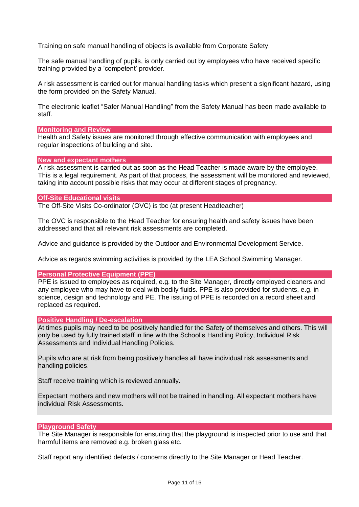Training on safe manual handling of objects is available from Corporate Safety.

The safe manual handling of pupils, is only carried out by employees who have received specific training provided by a 'competent' provider.

A risk assessment is carried out for manual handling tasks which present a significant hazard, using the form provided on the Safety Manual.

The electronic leaflet "Safer Manual Handling" from the Safety Manual has been made available to staff.

## **Monitoring and Review**

Health and Safety issues are monitored through effective communication with employees and regular inspections of building and site.

## **New and expectant mothers**

A risk assessment is carried out as soon as the Head Teacher is made aware by the employee. This is a legal requirement. As part of that process, the assessment will be monitored and reviewed, taking into account possible risks that may occur at different stages of pregnancy.

## **Off-Site Educational visits**

The Off-Site Visits Co-ordinator (OVC) is tbc (at present Headteacher)

The OVC is responsible to the Head Teacher for ensuring health and safety issues have been addressed and that all relevant risk assessments are completed.

Advice and guidance is provided by the Outdoor and Environmental Development Service.

Advice as regards swimming activities is provided by the LEA School Swimming Manager.

#### **Personal Protective Equipment (PPE)**

PPE is issued to employees as required, e.g. to the Site Manager, directly employed cleaners and any employee who may have to deal with bodily fluids. PPE is also provided for students, e.g. in science, design and technology and PE. The issuing of PPE is recorded on a record sheet and replaced as required.

# **Positive Handling / De-escalation**

At times pupils may need to be positively handled for the Safety of themselves and others. This will only be used by fully trained staff in line with the School's Handling Policy, Individual Risk Assessments and Individual Handling Policies.

Pupils who are at risk from being positively handles all have individual risk assessments and handling policies.

Staff receive training which is reviewed annually.

Expectant mothers and new mothers will not be trained in handling. All expectant mothers have individual Risk Assessments.

# **Playground Safety**

The Site Manager is responsible for ensuring that the playground is inspected prior to use and that harmful items are removed e.g. broken glass etc.

Staff report any identified defects / concerns directly to the Site Manager or Head Teacher.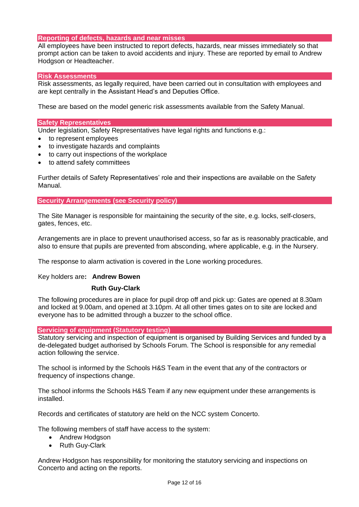# **Reporting of defects, hazards and near misses**

All employees have been instructed to report defects, hazards, near misses immediately so that prompt action can be taken to avoid accidents and injury. These are reported by email to Andrew Hodgson or Headteacher.

# **Risk Assessments**

Risk assessments, as legally required, have been carried out in consultation with employees and are kept centrally in the Assistant Head's and Deputies Office.

These are based on the model generic risk assessments available from the Safety Manual.

## **Safety Representatives**

Under legislation, Safety Representatives have legal rights and functions e.g.:

- to represent employees
- to investigate hazards and complaints
- to carry out inspections of the workplace
- to attend safety committees

Further details of Safety Representatives' role and their inspections are available on the Safety Manual.

**Security Arrangements (see Security policy)**

The Site Manager is responsible for maintaining the security of the site, e.g. locks, self-closers, gates, fences, etc.

Arrangements are in place to prevent unauthorised access, so far as is reasonably practicable, and also to ensure that pupils are prevented from absconding, where applicable, e.g. in the Nursery.

The response to alarm activation is covered in the Lone working procedures.

# Key holders are**: Andrew Bowen**

# **Ruth Guy-Clark**

The following procedures are in place for pupil drop off and pick up: Gates are opened at 8.30am and locked at 9.00am, and opened at 3.10pm. At all other times gates on to site are locked and everyone has to be admitted through a buzzer to the school office.

# **Servicing of equipment (Statutory testing)**

Statutory servicing and inspection of equipment is organised by Building Services and funded by a de-delegated budget authorised by Schools Forum. The School is responsible for any remedial action following the service.

The school is informed by the Schools H&S Team in the event that any of the contractors or frequency of inspections change.

The school informs the Schools H&S Team if any new equipment under these arrangements is installed.

Records and certificates of statutory are held on the NCC system Concerto.

The following members of staff have access to the system:

- Andrew Hodgson
- Ruth Guy-Clark

Andrew Hodgson has responsibility for monitoring the statutory servicing and inspections on Concerto and acting on the reports.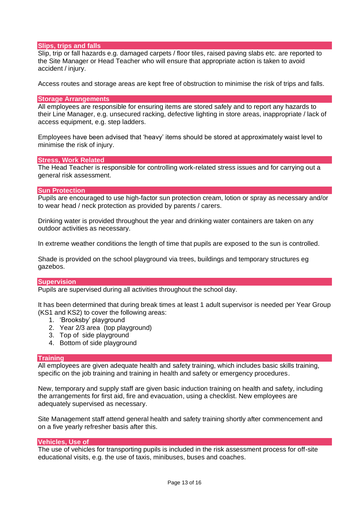# **Slips, trips and falls**

Slip, trip or fall hazards e.g. damaged carpets / floor tiles, raised paving slabs etc. are reported to the Site Manager or Head Teacher who will ensure that appropriate action is taken to avoid accident / injury.

Access routes and storage areas are kept free of obstruction to minimise the risk of trips and falls.

#### **Storage Arrangements**

All employees are responsible for ensuring items are stored safely and to report any hazards to their Line Manager, e.g. unsecured racking, defective lighting in store areas, inappropriate / lack of access equipment, e.g. step ladders.

Employees have been advised that 'heavy' items should be stored at approximately waist level to minimise the risk of injury.

#### **Stress, Work Related**

The Head Teacher is responsible for controlling work-related stress issues and for carrying out a general risk assessment.

#### **Sun Protection**

Pupils are encouraged to use high-factor sun protection cream, lotion or spray as necessary and/or to wear head / neck protection as provided by parents / carers.

Drinking water is provided throughout the year and drinking water containers are taken on any outdoor activities as necessary.

In extreme weather conditions the length of time that pupils are exposed to the sun is controlled.

Shade is provided on the school playground via trees, buildings and temporary structures eg gazebos.

#### **Supervision**

Pupils are supervised during all activities throughout the school day.

It has been determined that during break times at least 1 adult supervisor is needed per Year Group (KS1 and KS2) to cover the following areas:

- 1. 'Brooksby' playground
- 2. Year 2/3 area (top playground)
- 3. Top of side playground
- 4. Bottom of side playground

#### **Training**

All employees are given adequate health and safety training, which includes basic skills training, specific on the job training and training in health and safety or emergency procedures.

New, temporary and supply staff are given basic induction training on health and safety, including the arrangements for first aid, fire and evacuation, using a checklist. New employees are adequately supervised as necessary.

Site Management staff attend general health and safety training shortly after commencement and on a five yearly refresher basis after this.

#### **Vehicles, Use of**

The use of vehicles for transporting pupils is included in the risk assessment process for off-site educational visits, e.g. the use of taxis, minibuses, buses and coaches.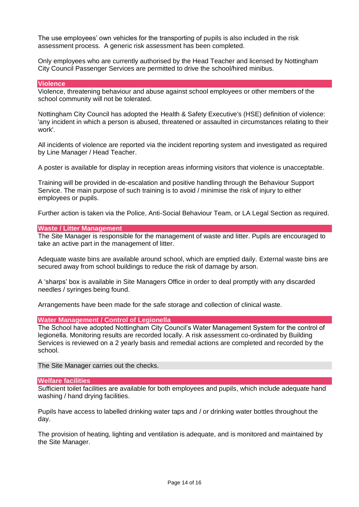The use employees' own vehicles for the transporting of pupils is also included in the risk assessment process. A generic risk assessment has been completed.

Only employees who are currently authorised by the Head Teacher and licensed by Nottingham City Council Passenger Services are permitted to drive the school/hired minibus.

#### **Violence**

Violence, threatening behaviour and abuse against school employees or other members of the school community will not be tolerated.

Nottingham City Council has adopted the Health & Safety Executive's (HSE) definition of violence: 'any incident in which a person is abused, threatened or assaulted in circumstances relating to their work'.

All incidents of violence are reported via the incident reporting system and investigated as required by Line Manager / Head Teacher.

A poster is available for display in reception areas informing visitors that violence is unacceptable.

Training will be provided in de-escalation and positive handling through the Behaviour Support Service. The main purpose of such training is to avoid / minimise the risk of injury to either employees or pupils.

Further action is taken via the Police, Anti-Social Behaviour Team, or LA Legal Section as required.

## **Waste / Litter Management**

The Site Manager is responsible for the management of waste and litter. Pupils are encouraged to take an active part in the management of litter.

Adequate waste bins are available around school, which are emptied daily. External waste bins are secured away from school buildings to reduce the risk of damage by arson.

A 'sharps' box is available in Site Managers Office in order to deal promptly with any discarded needles / syringes being found.

Arrangements have been made for the safe storage and collection of clinical waste.

#### **Water Management / Control of Legionella**

The School have adopted Nottingham City Council's Water Management System for the control of legionella. Monitoring results are recorded locally. A risk assessment co-ordinated by Building Services is reviewed on a 2 yearly basis and remedial actions are completed and recorded by the school.

The Site Manager carries out the checks.

#### **Welfare facilities**

Sufficient toilet facilities are available for both employees and pupils, which include adequate hand washing / hand drying facilities.

Pupils have access to labelled drinking water taps and / or drinking water bottles throughout the day.

The provision of heating, lighting and ventilation is adequate, and is monitored and maintained by the Site Manager.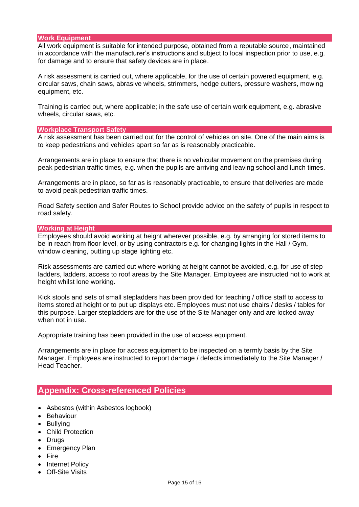# **Work Equipment**

All work equipment is suitable for intended purpose, obtained from a reputable source, maintained in accordance with the manufacturer's instructions and subject to local inspection prior to use, e.g. for damage and to ensure that safety devices are in place.

A risk assessment is carried out, where applicable, for the use of certain powered equipment, e.g. circular saws, chain saws, abrasive wheels, strimmers, hedge cutters, pressure washers, mowing equipment, etc.

Training is carried out, where applicable; in the safe use of certain work equipment, e.g. abrasive wheels, circular saws, etc.

#### **Workplace Transport Safety**

A risk assessment has been carried out for the control of vehicles on site. One of the main aims is to keep pedestrians and vehicles apart so far as is reasonably practicable.

Arrangements are in place to ensure that there is no vehicular movement on the premises during peak pedestrian traffic times, e.g. when the pupils are arriving and leaving school and lunch times.

Arrangements are in place, so far as is reasonably practicable, to ensure that deliveries are made to avoid peak pedestrian traffic times.

Road Safety section and Safer Routes to School provide advice on the safety of pupils in respect to road safety.

## **Working at Height**

Employees should avoid working at height wherever possible, e.g. by arranging for stored items to be in reach from floor level, or by using contractors e.g. for changing lights in the Hall / Gym, window cleaning, putting up stage lighting etc.

Risk assessments are carried out where working at height cannot be avoided, e.g. for use of step ladders, ladders, access to roof areas by the Site Manager. Employees are instructed not to work at height whilst lone working.

Kick stools and sets of small stepladders has been provided for teaching / office staff to access to items stored at height or to put up displays etc. Employees must not use chairs / desks / tables for this purpose. Larger stepladders are for the use of the Site Manager only and are locked away when not in use.

Appropriate training has been provided in the use of access equipment.

Arrangements are in place for access equipment to be inspected on a termly basis by the Site Manager. Employees are instructed to report damage / defects immediately to the Site Manager / Head Teacher.

# **Appendix: Cross-referenced Policies**

- Asbestos (within Asbestos logbook)
- Behaviour
- Bullying
- Child Protection
- Drugs
- Emergency Plan
- Fire
- Internet Policy
- Off-Site Visits